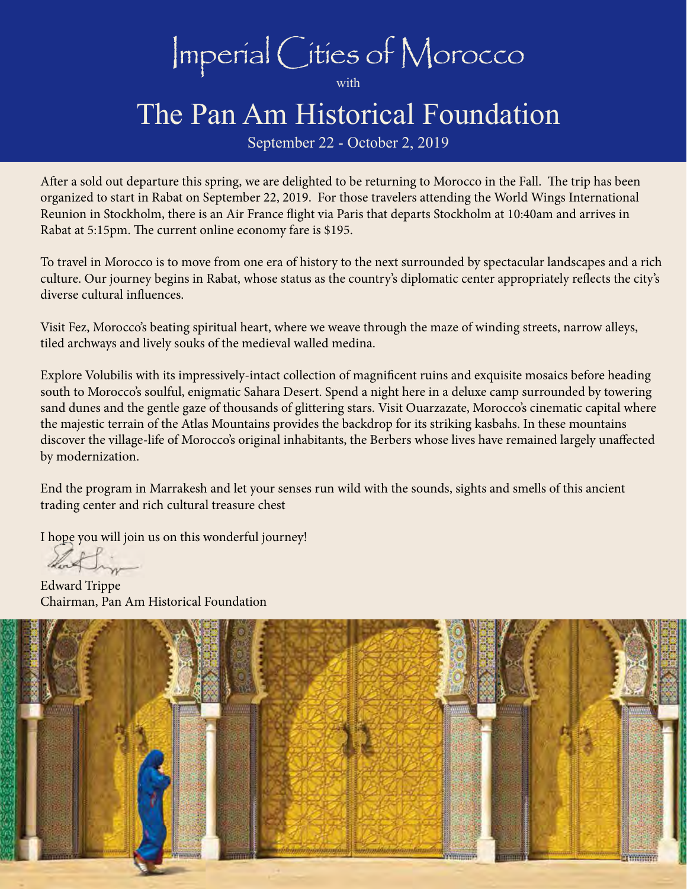Imperial Cities of Morocco

with

# The Pan Am Historical Foundation

September 22 - October 2, 2019

After a sold out departure this spring, we are delighted to be returning to Morocco in the Fall. The trip has been organized to start in Rabat on September 22, 2019. For those travelers attending the World Wings International Reunion in Stockholm, there is an Air France flight via Paris that departs Stockholm at 10:40am and arrives in Rabat at 5:15pm. The current online economy fare is \$195.

To travel in Morocco is to move from one era of history to the next surrounded by spectacular landscapes and a rich culture. Our journey begins in Rabat, whose status as the country's diplomatic center appropriately reflects the city's diverse cultural influences.

Visit Fez, Morocco's beating spiritual heart, where we weave through the maze of winding streets, narrow alleys, tiled archways and lively souks of the medieval walled medina.

Explore Volubilis with its impressively-intact collection of magnificent ruins and exquisite mosaics before heading south to Morocco's soulful, enigmatic Sahara Desert. Spend a night here in a deluxe camp surrounded by towering sand dunes and the gentle gaze of thousands of glittering stars. Visit Ouarzazate, Morocco's cinematic capital where the majestic terrain of the Atlas Mountains provides the backdrop for its striking kasbahs. In these mountains discover the village-life of Morocco's original inhabitants, the Berbers whose lives have remained largely unaffected by modernization.

End the program in Marrakesh and let your senses run wild with the sounds, sights and smells of this ancient trading center and rich cultural treasure chest

I hope you will join us on this wonderful journey!

Edward Trippe Chairman, Pan Am Historical Foundation

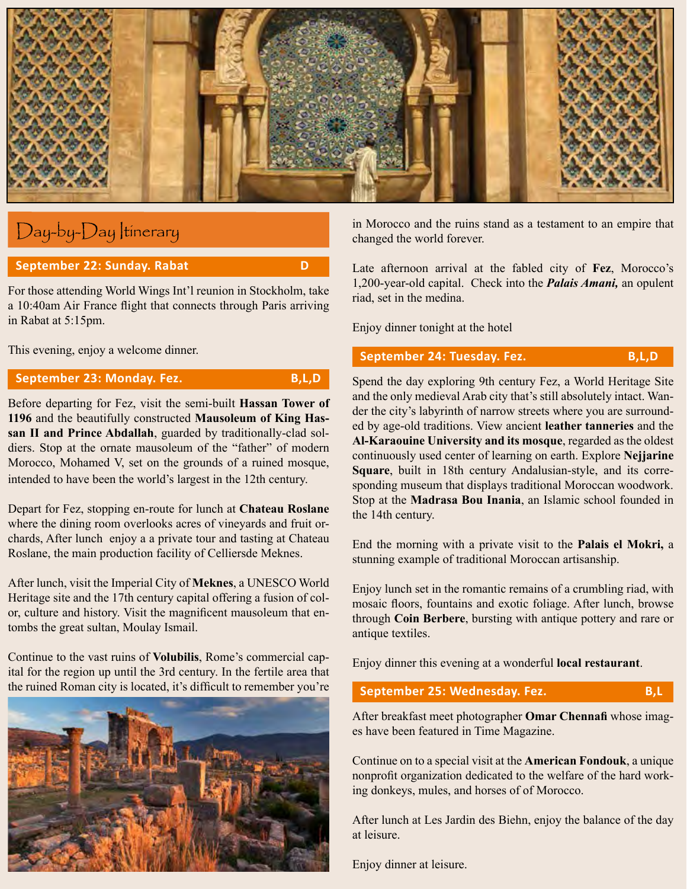

# Day-by-Day Itinerary

#### **September 22: Sunday. Rabat D**

For those attending World Wings Int'l reunion in Stockholm, take a 10:40am Air France flight that connects through Paris arriving in Rabat at 5:15pm.

This evening, enjoy a welcome dinner.

#### **September 23: Monday. Fez.** B,L,D

Before departing for Fez, visit the semi-built **Hassan Tower of 1196** and the beautifully constructed **Mausoleum of King Hassan II and Prince Abdallah**, guarded by traditionally-clad soldiers. Stop at the ornate mausoleum of the "father" of modern Morocco, Mohamed V, set on the grounds of a ruined mosque, intended to have been the world's largest in the 12th century.

Depart for Fez, stopping en-route for lunch at **Chateau Roslane**  where the dining room overlooks acres of vineyards and fruit orchards, After lunch enjoy a a private tour and tasting at Chateau Roslane, the main production facility of Celliersde Meknes.

After lunch, visit the Imperial City of **Meknes**, a UNESCO World Heritage site and the 17th century capital offering a fusion of color, culture and history. Visit the magnificent mausoleum that entombs the great sultan, Moulay Ismail.

Continue to the vast ruins of **Volubilis**, Rome's commercial capital for the region up until the 3rd century. In the fertile area that the ruined Roman city is located, it's difficult to remember you're



in Morocco and the ruins stand as a testament to an empire that changed the world forever.

Late afternoon arrival at the fabled city of **Fez**, Morocco's 1,200-year-old capital. Check into the *Palais Amani,* an opulent riad, set in the medina.

Enjoy dinner tonight at the hotel

### **September 24: Tuesday. Fez.** B,L,D

Spend the day exploring 9th century Fez, a World Heritage Site and the only medieval Arab city that's still absolutely intact. Wander the city's labyrinth of narrow streets where you are surrounded by age-old traditions. View ancient **leather tanneries** and the **Al-Karaouine University and its mosque**, regarded as the oldest continuously used center of learning on earth. Explore **Nejjarine Square**, built in 18th century Andalusian-style, and its corresponding museum that displays traditional Moroccan woodwork. Stop at the **Madrasa Bou Inania**, an Islamic school founded in the 14th century.

End the morning with a private visit to the **Palais el Mokri,** a stunning example of traditional Moroccan artisanship.

Enjoy lunch set in the romantic remains of a crumbling riad, with mosaic floors, fountains and exotic foliage. After lunch, browse through **Coin Berbere**, bursting with antique pottery and rare or antique textiles.

Enjoy dinner this evening at a wonderful **local restaurant**.

#### **September 25: Wednesday. Fez. B,L**

After breakfast meet photographer **Omar Chennafi** whose images have been featured in Time Magazine.

Continue on to a special visit at the **American Fondouk**, a unique nonprofit organization dedicated to the welfare of the hard working donkeys, mules, and horses of of Morocco.

After lunch at Les Jardin des Biehn, enjoy the balance of the day at leisure.

Enjoy dinner at leisure.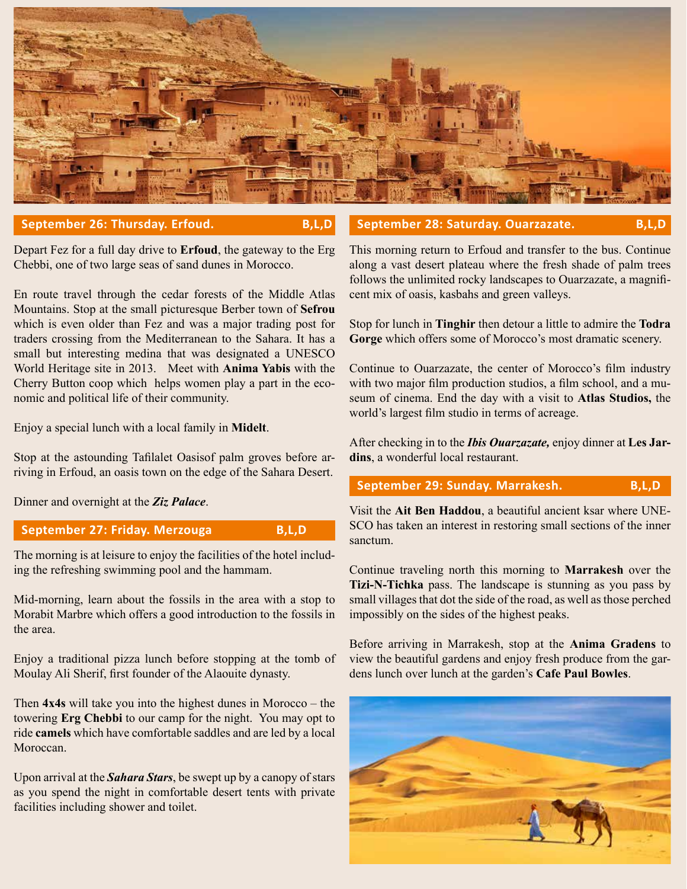

#### **September 26: Thursday. Erfoud. B,L,D**

Depart Fez for a full day drive to **Erfoud**, the gateway to the Erg Chebbi, one of two large seas of sand dunes in Morocco.

En route travel through the cedar forests of the Middle Atlas Mountains. Stop at the small picturesque Berber town of **Sefrou** which is even older than Fez and was a major trading post for traders crossing from the Mediterranean to the Sahara. It has a small but interesting medina that was designated a UNESCO World Heritage site in 2013. Meet with **Anima Yabis** with the Cherry Button coop which helps women play a part in the economic and political life of their community.

Enjoy a special lunch with a local family in **Midelt**.

Stop at the astounding Tafilalet Oasisof palm groves before arriving in Erfoud, an oasis town on the edge of the Sahara Desert.

Dinner and overnight at the *Ziz Palace*.

September 27: Friday. Merzouga B,L,D

The morning is at leisure to enjoy the facilities of the hotel including the refreshing swimming pool and the hammam.

Mid-morning, learn about the fossils in the area with a stop to Morabit Marbre which offers a good introduction to the fossils in the area.

Enjoy a traditional pizza lunch before stopping at the tomb of Moulay Ali Sherif, first founder of the Alaouite dynasty.

Then **4x4s** will take you into the highest dunes in Morocco – the towering **Erg Chebbi** to our camp for the night. You may opt to ride **camels** which have comfortable saddles and are led by a local **Moroccan** 

Upon arrival at the *Sahara Stars*, be swept up by a canopy of stars as you spend the night in comfortable desert tents with private facilities including shower and toilet.

This morning return to Erfoud and transfer to the bus. Continue along a vast desert plateau where the fresh shade of palm trees follows the unlimited rocky landscapes to Ouarzazate, a magnificent mix of oasis, kasbahs and green valleys.

September 28: Saturday. Ouarzazate. B,L,D

Stop for lunch in **Tinghir** then detour a little to admire the **Todra Gorge** which offers some of Morocco's most dramatic scenery.

Continue to Ouarzazate, the center of Morocco's film industry with two major film production studios, a film school, and a museum of cinema. End the day with a visit to **Atlas Studios,** the world's largest film studio in terms of acreage.

After checking in to the *Ibis Ouarzazate,* enjoy dinner at **Les Jardins**, a wonderful local restaurant.

## September 29: Sunday. Marrakesh. B,L,D

Visit the **Ait Ben Haddou**, a beautiful ancient ksar where UNE-SCO has taken an interest in restoring small sections of the inner sanctum.

Continue traveling north this morning to **Marrakesh** over the **Tizi-N-Tichka** pass. The landscape is stunning as you pass by small villages that dot the side of the road, as well as those perched impossibly on the sides of the highest peaks.

Before arriving in Marrakesh, stop at the **Anima Gradens** to view the beautiful gardens and enjoy fresh produce from the gardens lunch over lunch at the garden's **Cafe Paul Bowles**.

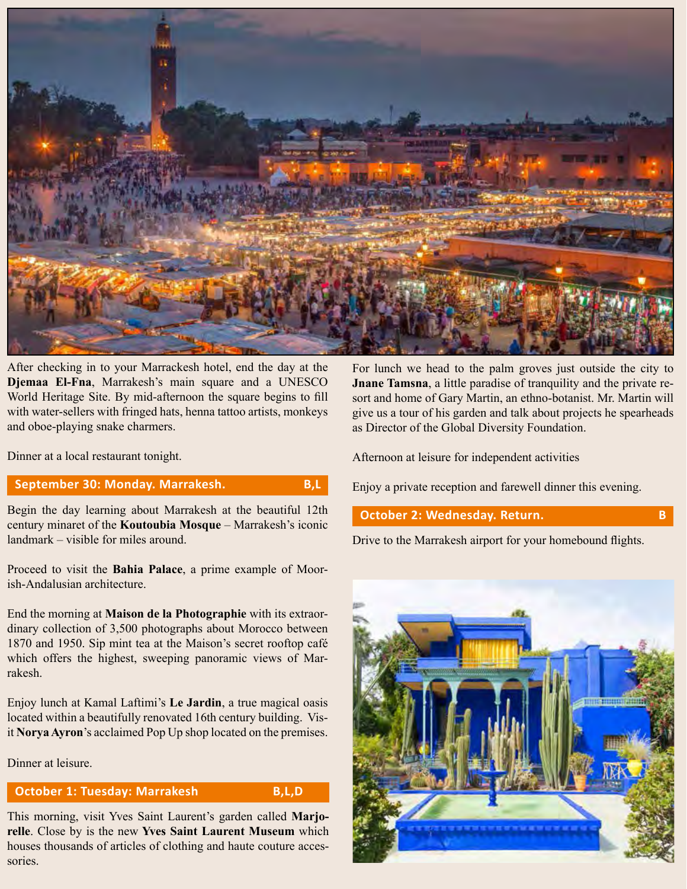

After checking in to your Marrackesh hotel, end the day at the **Djemaa El-Fna**, Marrakesh's main square and a UNESCO World Heritage Site. By mid-afternoon the square begins to fill with water-sellers with fringed hats, henna tattoo artists, monkeys and oboe-playing snake charmers.

Dinner at a local restaurant tonight.

#### **September 30: Monday. Marrakesh. B,L**

Begin the day learning about Marrakesh at the beautiful 12th century minaret of the **Koutoubia Mosque** – Marrakesh's iconic landmark – visible for miles around.

Proceed to visit the **Bahia Palace**, a prime example of Moorish-Andalusian architecture.

End the morning at **Maison de la Photographie** with its extraordinary collection of 3,500 photographs about Morocco between 1870 and 1950. Sip mint tea at the Maison's secret rooftop café which offers the highest, sweeping panoramic views of Marrakesh.

Enjoy lunch at Kamal Laftimi's **Le Jardin**, a true magical oasis located within a beautifully renovated 16th century building. Visit **Norya Ayron**'s acclaimed Pop Up shop located on the premises.

Dinner at leisure.

#### **October 1: Tuesday: Marrakesh B,L,D**

This morning, visit Yves Saint Laurent's garden called **Marjorelle**. Close by is the new **Yves Saint Laurent Museum** which houses thousands of articles of clothing and haute couture accessories.

For lunch we head to the palm groves just outside the city to **Jnane Tamsna**, a little paradise of tranquility and the private resort and home of Gary Martin, an ethno-botanist. Mr. Martin will give us a tour of his garden and talk about projects he spearheads as Director of the Global Diversity Foundation.

Afternoon at leisure for independent activities

Enjoy a private reception and farewell dinner this evening.

### **October 2: Wednesday. Return.** B

Drive to the Marrakesh airport for your homebound flights.

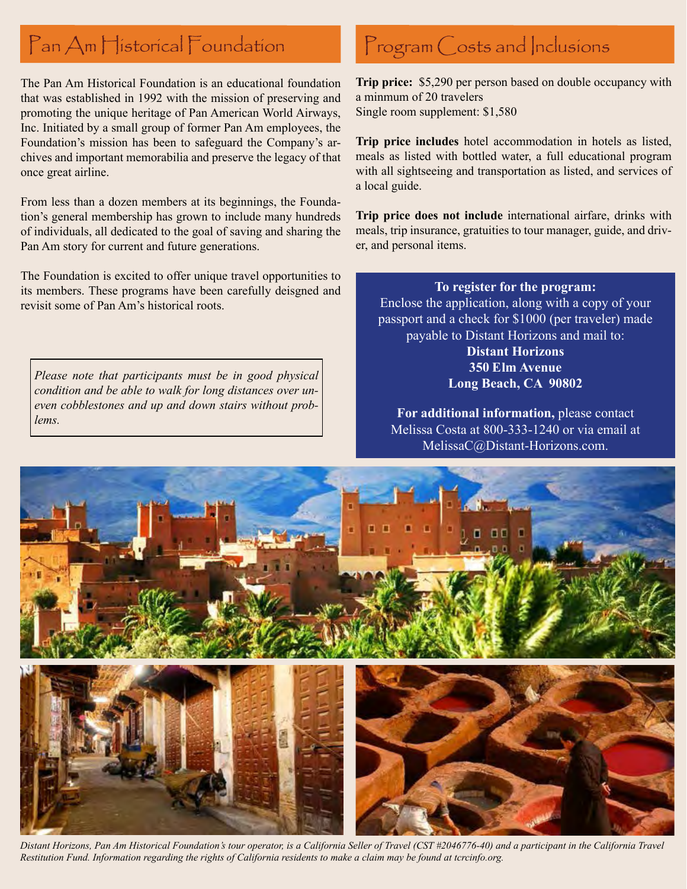# Pan Am Historical Foundation

The Pan Am Historical Foundation is an educational foundation that was established in 1992 with the mission of preserving and promoting the unique heritage of Pan American World Airways, Inc. Initiated by a small group of former Pan Am employees, the Foundation's mission has been to safeguard the Company's archives and important memorabilia and preserve the legacy of that once great airline.

From less than a dozen members at its beginnings, the Foundation's general membership has grown to include many hundreds of individuals, all dedicated to the goal of saving and sharing the Pan Am story for current and future generations.

The Foundation is excited to offer unique travel opportunities to its members. These programs have been carefully deisgned and revisit some of Pan Am's historical roots.

*Please note that participants must be in good physical condition and be able to walk for long distances over uneven cobblestones and up and down stairs without problems.* 

# Program Costs and Inclusions

**Trip price:** \$5,290 per person based on double occupancy with a minmum of 20 travelers Single room supplement: \$1,580

**Trip price includes** hotel accommodation in hotels as listed, meals as listed with bottled water, a full educational program with all sightseeing and transportation as listed, and services of a local guide.

**Trip price does not include** international airfare, drinks with meals, trip insurance, gratuities to tour manager, guide, and driver, and personal items.

#### **To register for the program:**

Enclose the application, along with a copy of your passport and a check for \$1000 (per traveler) made payable to Distant Horizons and mail to:

> **Distant Horizons 350 Elm Avenue Long Beach, CA 90802**

**For additional information,** please contact Melissa Costa at 800-333-1240 or via email at MelissaC@Distant-Horizons.com.



*Distant Horizons, Pan Am Historical Foundation's tour operator, is a California Seller of Travel (CST #2046776-40) and a participant in the California Travel Restitution Fund. Information regarding the rights of California residents to make a claim may be found at tcrcinfo.org.*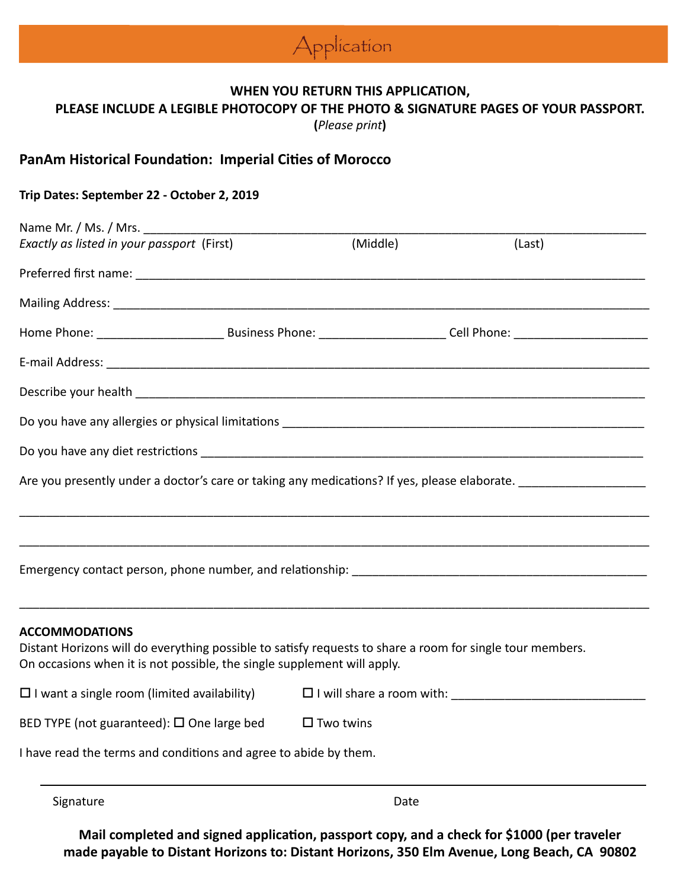

## **WHEN YOU RETURN THIS APPLICATION,**

**PLEASE INCLUDE A LEGIBLE PHOTOCOPY OF THE PHOTO & SIGNATURE PAGES OF YOUR PASSPORT.** 

**(***Please print***)**

# **PanAm Historical Foundation: Imperial Cities of Morocco**

### **Trip Dates: September 22 - October 2, 2019**

| Name Mr. / Ms. / Mrs.                                                                                                                                                                |  |                     |                                                                                                                                        |
|--------------------------------------------------------------------------------------------------------------------------------------------------------------------------------------|--|---------------------|----------------------------------------------------------------------------------------------------------------------------------------|
| Exactly as listed in your passport (First)                                                                                                                                           |  | (Middle)            | (Last)                                                                                                                                 |
|                                                                                                                                                                                      |  |                     |                                                                                                                                        |
|                                                                                                                                                                                      |  |                     |                                                                                                                                        |
|                                                                                                                                                                                      |  |                     | Home Phone: __________________________________Business Phone: __________________________Cell Phone: __________________________________ |
|                                                                                                                                                                                      |  |                     |                                                                                                                                        |
|                                                                                                                                                                                      |  |                     |                                                                                                                                        |
|                                                                                                                                                                                      |  |                     |                                                                                                                                        |
|                                                                                                                                                                                      |  |                     |                                                                                                                                        |
| Are you presently under a doctor's care or taking any medications? If yes, please elaborate.                                                                                         |  |                     |                                                                                                                                        |
|                                                                                                                                                                                      |  |                     |                                                                                                                                        |
|                                                                                                                                                                                      |  |                     |                                                                                                                                        |
| Emergency contact person, phone number, and relationship: example and relationship and the set of the set of the                                                                     |  |                     |                                                                                                                                        |
|                                                                                                                                                                                      |  |                     |                                                                                                                                        |
| <b>ACCOMMODATIONS</b>                                                                                                                                                                |  |                     |                                                                                                                                        |
| Distant Horizons will do everything possible to satisfy requests to share a room for single tour members.<br>On occasions when it is not possible, the single supplement will apply. |  |                     |                                                                                                                                        |
| $\square$ I want a single room (limited availability)                                                                                                                                |  |                     |                                                                                                                                        |
| BED TYPE (not guaranteed): $\square$ One large bed                                                                                                                                   |  | $\square$ Two twins |                                                                                                                                        |
| I have read the terms and conditions and agree to abide by them.                                                                                                                     |  |                     |                                                                                                                                        |
|                                                                                                                                                                                      |  |                     |                                                                                                                                        |

Signature Date Date Date

**Mail completed and signed application, passport copy, and a check for \$1000 (per traveler made payable to Distant Horizons to: Distant Horizons, 350 Elm Avenue, Long Beach, CA 90802**